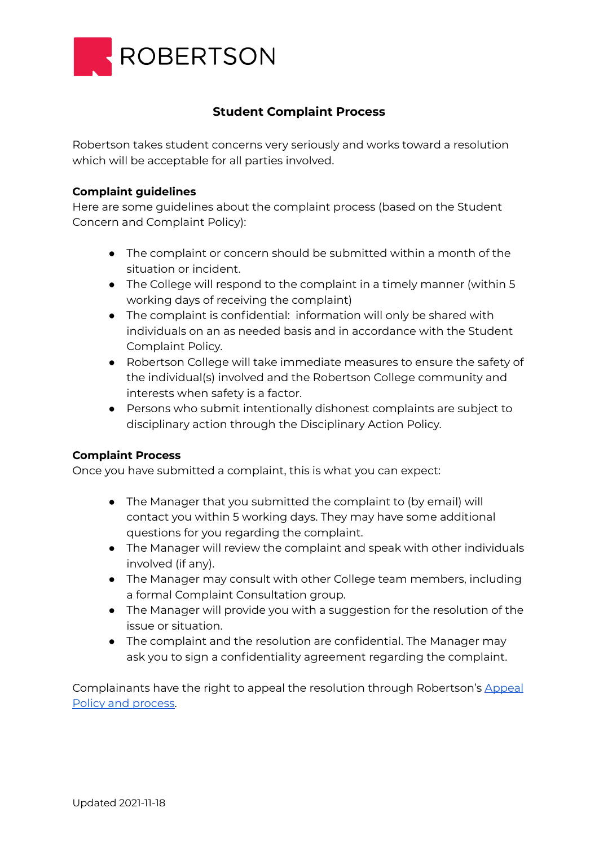

## **Student Complaint Process**

Robertson takes student concerns very seriously and works toward a resolution which will be acceptable for all parties involved.

## **Complaint guidelines**

Here are some guidelines about the complaint process (based on the Student Concern and Complaint Policy):

- The complaint or concern should be submitted within a month of the situation or incident.
- The College will respond to the complaint in a timely manner (within 5 working days of receiving the complaint)
- The complaint is confidential: information will only be shared with individuals on an as needed basis and in accordance with the Student Complaint Policy.
- Robertson College will take immediate measures to ensure the safety of the individual(s) involved and the Robertson College community and interests when safety is a factor.
- Persons who submit intentionally dishonest complaints are subject to disciplinary action through the Disciplinary Action Policy.

## **Complaint Process**

Once you have submitted a complaint, this is what you can expect:

- The Manager that you submitted the complaint to (by email) will contact you within 5 working days. They may have some additional questions for you regarding the complaint.
- The Manager will review the complaint and speak with other individuals involved (if any).
- The Manager may consult with other College team members, including a formal Complaint Consultation group.
- The Manager will provide you with a suggestion for the resolution of the issue or situation.
- The complaint and the resolution are confidential. The Manager may ask you to sign a confidentiality agreement regarding the complaint.

Complainants have the right to appeal the resolution through Robertson's [Appeal](https://www.robertsoncollege.com/help/policies/student-appeal-policy/) Policy and [process.](https://www.robertsoncollege.com/help/policies/student-appeal-policy/)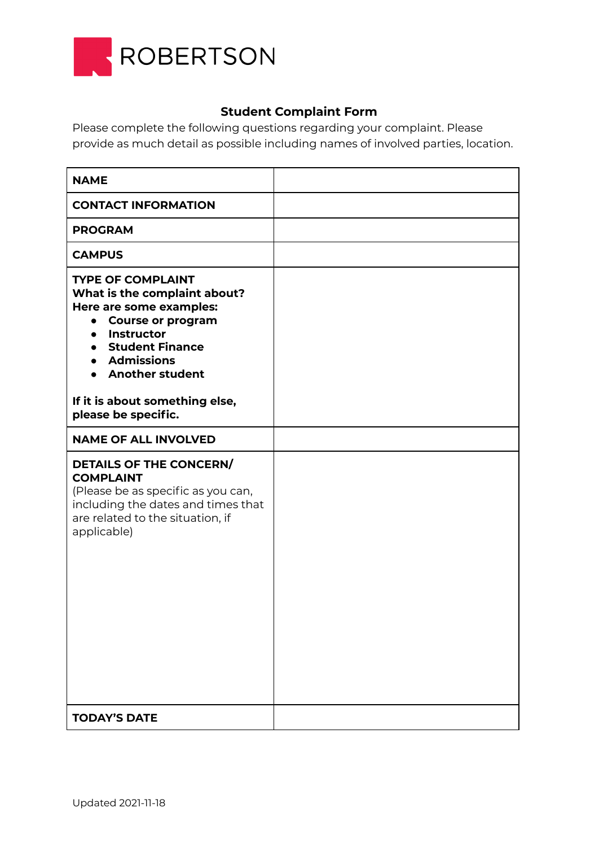

## **Student Complaint Form**

Please complete the following questions regarding your complaint. Please provide as much detail as possible including names of involved parties, location.

| <b>NAME</b>                                                                                                                                                                                                              |  |
|--------------------------------------------------------------------------------------------------------------------------------------------------------------------------------------------------------------------------|--|
| <b>CONTACT INFORMATION</b>                                                                                                                                                                                               |  |
| <b>PROGRAM</b>                                                                                                                                                                                                           |  |
| <b>CAMPUS</b>                                                                                                                                                                                                            |  |
| <b>TYPE OF COMPLAINT</b><br>What is the complaint about?<br>Here are some examples:<br><b>Course or program</b><br>$\bullet$<br><b>Instructor</b><br>$\bullet$<br>• Student Finance<br>• Admissions<br>• Another student |  |
| If it is about something else,<br>please be specific.                                                                                                                                                                    |  |
| <b>NAME OF ALL INVOLVED</b>                                                                                                                                                                                              |  |
| DETAILS OF THE CONCERN/<br><b>COMPLAINT</b><br>(Please be as specific as you can,<br>including the dates and times that<br>are related to the situation, if<br>applicable)                                               |  |
| <b>TODAY'S DATE</b>                                                                                                                                                                                                      |  |